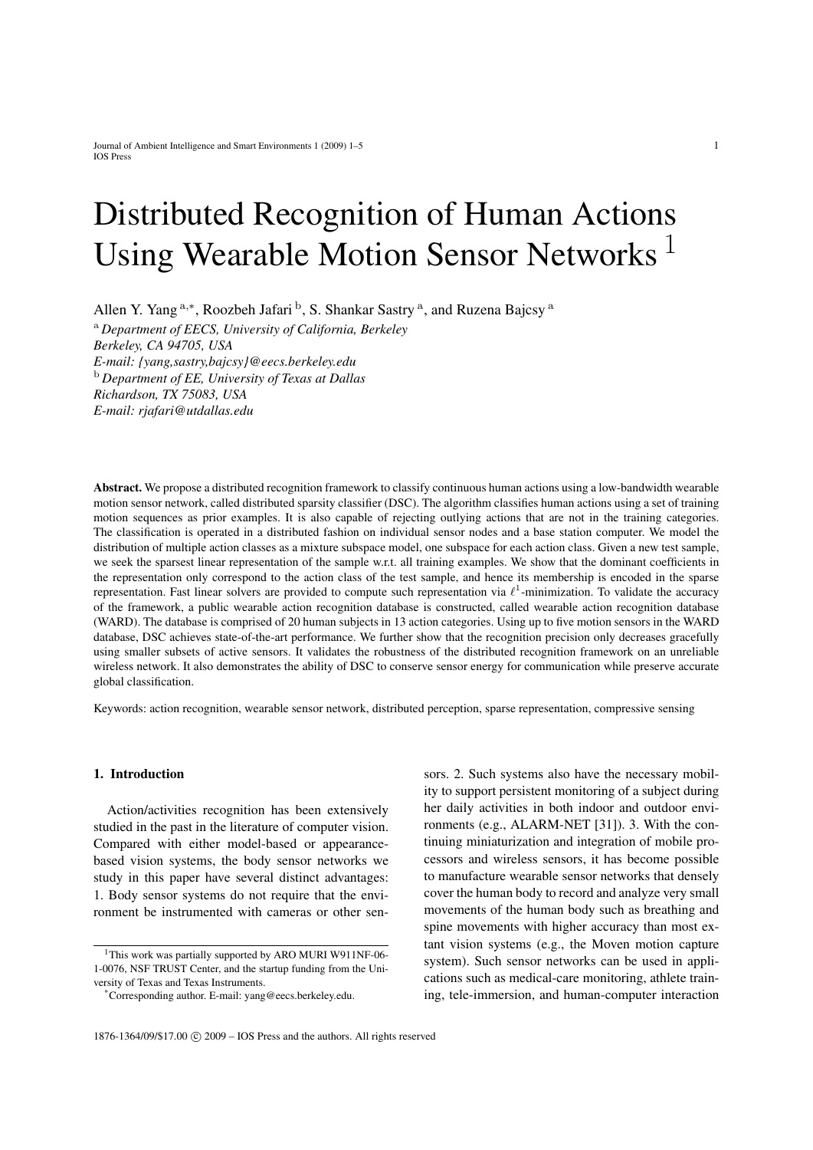# Distributed Recognition of Human Actions Using Wearable Motion Sensor Networks<sup>1</sup>

Allen Y. Yang <sup>a,\*</sup>, Roozbeh Jafari <sup>b</sup>, S. Shankar Sastry <sup>a</sup>, and Ruzena Bajcsy <sup>a</sup>

<sup>a</sup> *Department of EECS, University of California, Berkeley Berkeley, CA 94705, USA E-mail: {yang,sastry,bajcsy}@eecs.berkeley.edu* <sup>b</sup> *Department of EE, University of Texas at Dallas Richardson, TX 75083, USA E-mail: rjafari@utdallas.edu*

Abstract. We propose a distributed recognition framework to classify continuous human actions using a low-bandwidth wearable motion sensor network, called distributed sparsity classifier (DSC). The algorithm classifies human actions using a set of training motion sequences as prior examples. It is also capable of rejecting outlying actions that are not in the training categories. The classification is operated in a distributed fashion on individual sensor nodes and a base station computer. We model the distribution of multiple action classes as a mixture subspace model, one subspace for each action class. Given a new test sample, we seek the sparsest linear representation of the sample w.r.t. all training examples. We show that the dominant coefficients in the representation only correspond to the action class of the test sample, and hence its membership is encoded in the sparse representation. Fast linear solvers are provided to compute such representation via  $\ell^1$ -minimization. To validate the accuracy of the framework, a public wearable action recognition database is constructed, called wearable action recognition database (WARD). The database is comprised of 20 human subjects in 13 action categories. Using up to five motion sensors in the WARD database, DSC achieves state-of-the-art performance. We further show that the recognition precision only decreases gracefully using smaller subsets of active sensors. It validates the robustness of the distributed recognition framework on an unreliable wireless network. It also demonstrates the ability of DSC to conserve sensor energy for communication while preserve accurate global classification.

Keywords: action recognition, wearable sensor network, distributed perception, sparse representation, compressive sensing

## 1. Introduction

Action/activities recognition has been extensively studied in the past in the literature of computer vision. Compared with either model-based or appearancebased vision systems, the body sensor networks we study in this paper have several distinct advantages: 1. Body sensor systems do not require that the environment be instrumented with cameras or other sensors. 2. Such systems also have the necessary mobility to support persistent monitoring of a subject during her daily activities in both indoor and outdoor environments (e.g., ALARM-NET [31]). 3. With the continuing miniaturization and integration of mobile processors and wireless sensors, it has become possible to manufacture wearable sensor networks that densely cover the human body to record and analyze very small movements of the human body such as breathing and spine movements with higher accuracy than most extant vision systems (e.g., the Moven motion capture system). Such sensor networks can be used in applications such as medical-care monitoring, athlete training, tele-immersion, and human-computer interaction

<sup>&</sup>lt;sup>1</sup>This work was partially supported by ARO MURI W911NF-06-1-0076, NSF TRUST Center, and the startup funding from the University of Texas and Texas Instruments.

<sup>\*</sup>Corresponding author. E-mail: yang@eecs.berkeley.edu.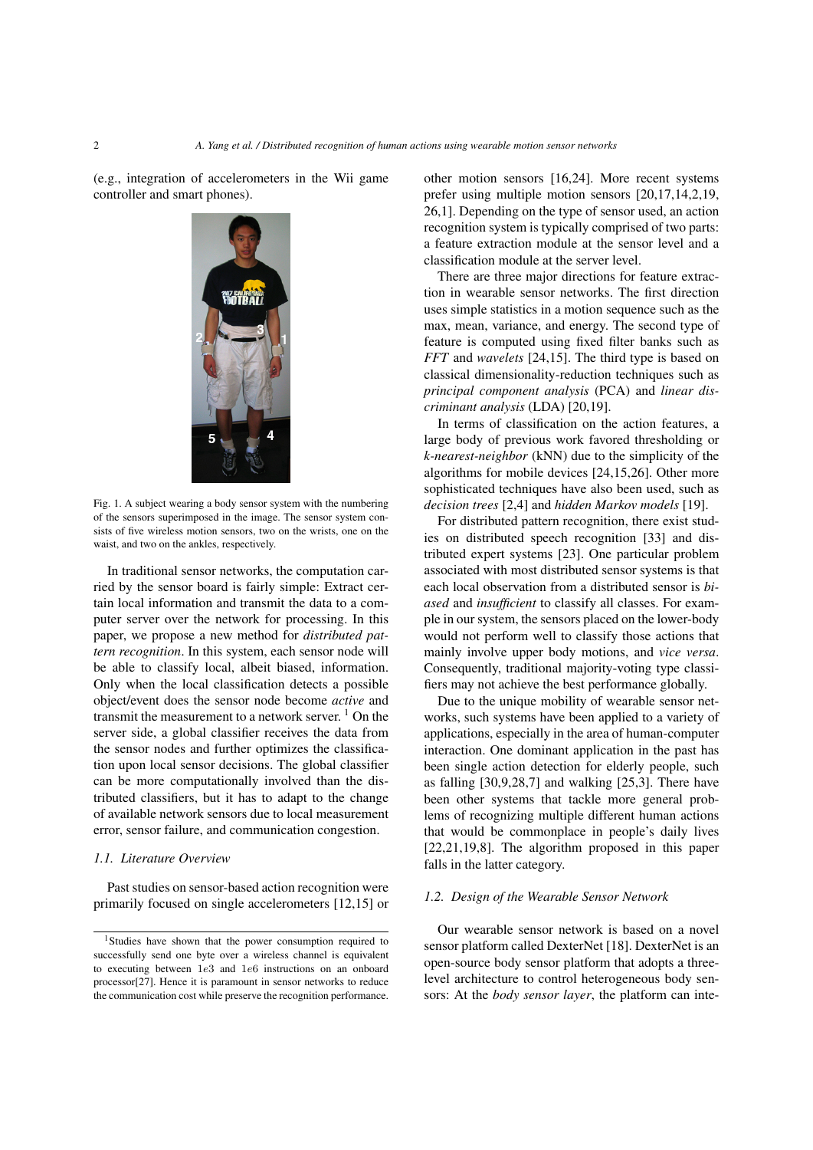(e.g., integration of accelerometers in the Wii game controller and smart phones).



Fig. 1. A subject wearing a body sensor system with the numbering of the sensors superimposed in the image. The sensor system consists of five wireless motion sensors, two on the wrists, one on the waist, and two on the ankles, respectively.

In traditional sensor networks, the computation carried by the sensor board is fairly simple: Extract certain local information and transmit the data to a computer server over the network for processing. In this paper, we propose a new method for *distributed pattern recognition*. In this system, each sensor node will be able to classify local, albeit biased, information. Only when the local classification detects a possible object/event does the sensor node become *active* and transmit the measurement to a network server.  $\frac{1}{1}$  On the server side, a global classifier receives the data from the sensor nodes and further optimizes the classification upon local sensor decisions. The global classifier can be more computationally involved than the distributed classifiers, but it has to adapt to the change of available network sensors due to local measurement error, sensor failure, and communication congestion.

## *1.1. Literature Overview*

Past studies on sensor-based action recognition were primarily focused on single accelerometers [12,15] or other motion sensors [16,24]. More recent systems prefer using multiple motion sensors [20,17,14,2,19, 26,1]. Depending on the type of sensor used, an action recognition system is typically comprised of two parts: a feature extraction module at the sensor level and a classification module at the server level.

There are three major directions for feature extraction in wearable sensor networks. The first direction uses simple statistics in a motion sequence such as the max, mean, variance, and energy. The second type of feature is computed using fixed filter banks such as *FFT* and *wavelets* [24,15]. The third type is based on classical dimensionality-reduction techniques such as *principal component analysis* (PCA) and *linear discriminant analysis* (LDA) [20,19].

In terms of classification on the action features, a large body of previous work favored thresholding or *k-nearest-neighbor* (kNN) due to the simplicity of the algorithms for mobile devices [24,15,26]. Other more sophisticated techniques have also been used, such as *decision trees* [2,4] and *hidden Markov models* [19].

For distributed pattern recognition, there exist studies on distributed speech recognition [33] and distributed expert systems [23]. One particular problem associated with most distributed sensor systems is that each local observation from a distributed sensor is *biased* and *insufficient* to classify all classes. For example in our system, the sensors placed on the lower-body would not perform well to classify those actions that mainly involve upper body motions, and *vice versa*. Consequently, traditional majority-voting type classifiers may not achieve the best performance globally.

Due to the unique mobility of wearable sensor networks, such systems have been applied to a variety of applications, especially in the area of human-computer interaction. One dominant application in the past has been single action detection for elderly people, such as falling [30,9,28,7] and walking [25,3]. There have been other systems that tackle more general problems of recognizing multiple different human actions that would be commonplace in people's daily lives [22,21,19,8]. The algorithm proposed in this paper falls in the latter category.

## *1.2. Design of the Wearable Sensor Network*

Our wearable sensor network is based on a novel sensor platform called DexterNet [18]. DexterNet is an open-source body sensor platform that adopts a threelevel architecture to control heterogeneous body sensors: At the *body sensor layer*, the platform can inte-

<sup>&</sup>lt;sup>1</sup>Studies have shown that the power consumption required to successfully send one byte over a wireless channel is equivalent to executing between 1e3 and 1e6 instructions on an onboard processor[27]. Hence it is paramount in sensor networks to reduce the communication cost while preserve the recognition performance.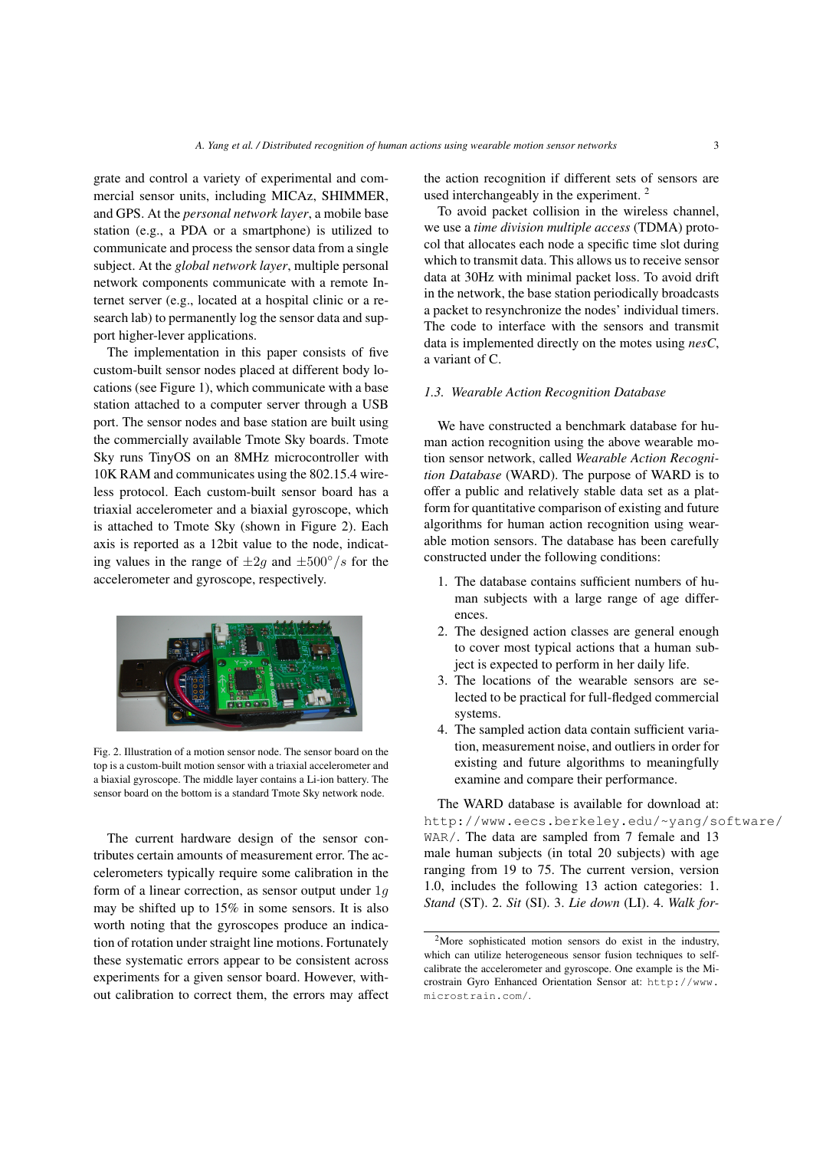grate and control a variety of experimental and commercial sensor units, including MICAz, SHIMMER, and GPS. At the *personal network layer*, a mobile base station (e.g., a PDA or a smartphone) is utilized to communicate and process the sensor data from a single subject. At the *global network layer*, multiple personal network components communicate with a remote Internet server (e.g., located at a hospital clinic or a research lab) to permanently log the sensor data and support higher-lever applications.

The implementation in this paper consists of five custom-built sensor nodes placed at different body locations (see Figure 1), which communicate with a base station attached to a computer server through a USB port. The sensor nodes and base station are built using the commercially available Tmote Sky boards. Tmote Sky runs TinyOS on an 8MHz microcontroller with 10K RAM and communicates using the 802.15.4 wireless protocol. Each custom-built sensor board has a triaxial accelerometer and a biaxial gyroscope, which is attached to Tmote Sky (shown in Figure 2). Each axis is reported as a 12bit value to the node, indicating values in the range of  $\pm 2g$  and  $\pm 500^{\circ}/s$  for the accelerometer and gyroscope, respectively.



Fig. 2. Illustration of a motion sensor node. The sensor board on the top is a custom-built motion sensor with a triaxial accelerometer and a biaxial gyroscope. The middle layer contains a Li-ion battery. The sensor board on the bottom is a standard Tmote Sky network node.

The current hardware design of the sensor contributes certain amounts of measurement error. The accelerometers typically require some calibration in the form of a linear correction, as sensor output under 1g may be shifted up to 15% in some sensors. It is also worth noting that the gyroscopes produce an indication of rotation under straight line motions. Fortunately these systematic errors appear to be consistent across experiments for a given sensor board. However, without calibration to correct them, the errors may affect the action recognition if different sets of sensors are used interchangeably in the experiment. <sup>2</sup>

To avoid packet collision in the wireless channel, we use a *time division multiple access* (TDMA) protocol that allocates each node a specific time slot during which to transmit data. This allows us to receive sensor data at 30Hz with minimal packet loss. To avoid drift in the network, the base station periodically broadcasts a packet to resynchronize the nodes' individual timers. The code to interface with the sensors and transmit data is implemented directly on the motes using *nesC*, a variant of C.

#### *1.3. Wearable Action Recognition Database*

We have constructed a benchmark database for human action recognition using the above wearable motion sensor network, called *Wearable Action Recognition Database* (WARD). The purpose of WARD is to offer a public and relatively stable data set as a platform for quantitative comparison of existing and future algorithms for human action recognition using wearable motion sensors. The database has been carefully constructed under the following conditions:

- 1. The database contains sufficient numbers of human subjects with a large range of age differences.
- 2. The designed action classes are general enough to cover most typical actions that a human subject is expected to perform in her daily life.
- 3. The locations of the wearable sensors are selected to be practical for full-fledged commercial systems.
- 4. The sampled action data contain sufficient variation, measurement noise, and outliers in order for existing and future algorithms to meaningfully examine and compare their performance.

The WARD database is available for download at: http://www.eecs.berkeley.edu/~yang/software/ WAR/. The data are sampled from 7 female and 13 male human subjects (in total 20 subjects) with age ranging from 19 to 75. The current version, version 1.0, includes the following 13 action categories: 1. *Stand* (ST). 2. *Sit* (SI). 3. *Lie down* (LI). 4. *Walk for-*

<sup>2</sup>More sophisticated motion sensors do exist in the industry, which can utilize heterogeneous sensor fusion techniques to selfcalibrate the accelerometer and gyroscope. One example is the Microstrain Gyro Enhanced Orientation Sensor at: http://www. microstrain.com/.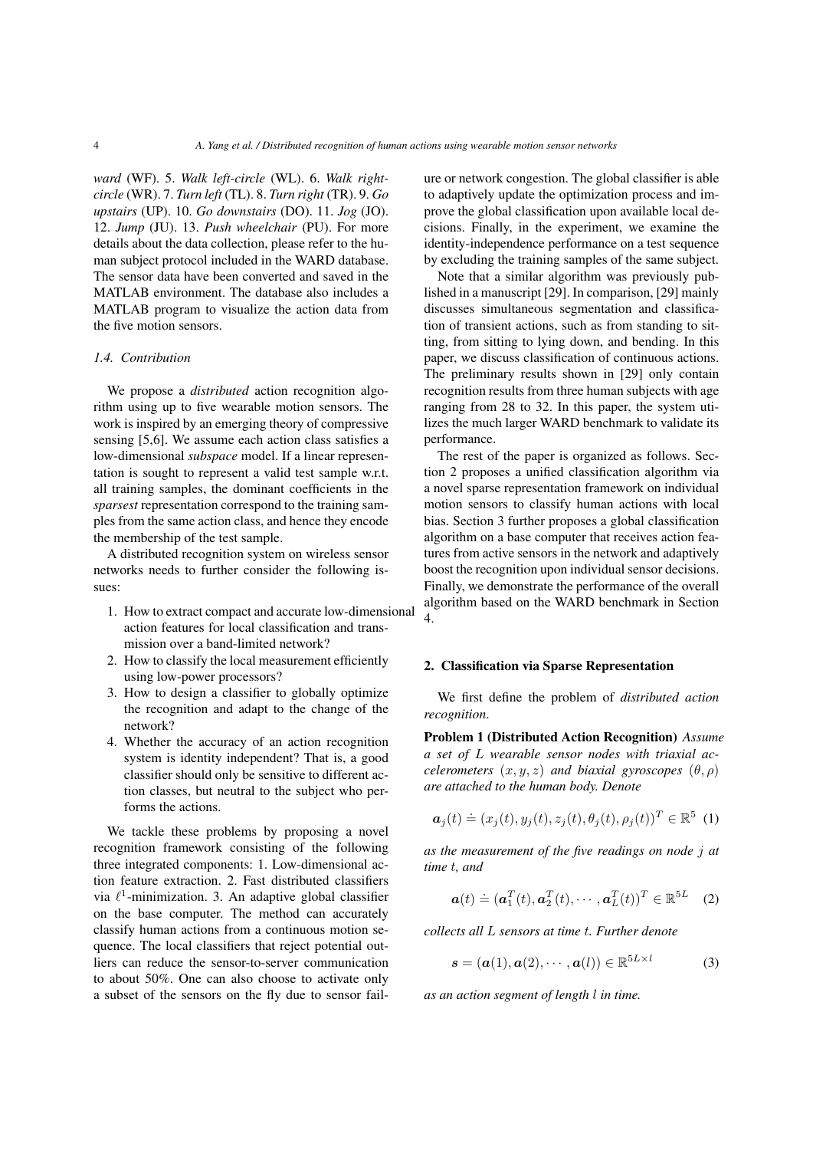*ward* (WF). 5. *Walk left-circle* (WL). 6. *Walk rightcircle* (WR). 7. *Turn left* (TL). 8. *Turn right* (TR). 9. *Go upstairs* (UP). 10. *Go downstairs* (DO). 11. *Jog* (JO). 12. *Jump* (JU). 13. *Push wheelchair* (PU). For more details about the data collection, please refer to the human subject protocol included in the WARD database. The sensor data have been converted and saved in the MATLAB environment. The database also includes a MATLAB program to visualize the action data from the five motion sensors.

### *1.4. Contribution*

We propose a *distributed* action recognition algorithm using up to five wearable motion sensors. The work is inspired by an emerging theory of compressive sensing [5,6]. We assume each action class satisfies a low-dimensional *subspace* model. If a linear representation is sought to represent a valid test sample w.r.t. all training samples, the dominant coefficients in the *sparsest* representation correspond to the training samples from the same action class, and hence they encode the membership of the test sample.

A distributed recognition system on wireless sensor networks needs to further consider the following issues:

- 1. How to extract compact and accurate low-dimensional action features for local classification and transmission over a band-limited network?
- 2. How to classify the local measurement efficiently using low-power processors?
- 3. How to design a classifier to globally optimize the recognition and adapt to the change of the network?
- 4. Whether the accuracy of an action recognition system is identity independent? That is, a good classifier should only be sensitive to different action classes, but neutral to the subject who performs the actions.

We tackle these problems by proposing a novel recognition framework consisting of the following three integrated components: 1. Low-dimensional action feature extraction. 2. Fast distributed classifiers via  $\ell^1$ -minimization. 3. An adaptive global classifier on the base computer. The method can accurately classify human actions from a continuous motion sequence. The local classifiers that reject potential outliers can reduce the sensor-to-server communication to about 50%. One can also choose to activate only a subset of the sensors on the fly due to sensor failure or network congestion. The global classifier is able to adaptively update the optimization process and improve the global classification upon available local decisions. Finally, in the experiment, we examine the identity-independence performance on a test sequence by excluding the training samples of the same subject.

Note that a similar algorithm was previously published in a manuscript [29]. In comparison, [29] mainly discusses simultaneous segmentation and classification of transient actions, such as from standing to sitting, from sitting to lying down, and bending. In this paper, we discuss classification of continuous actions. The preliminary results shown in [29] only contain recognition results from three human subjects with age ranging from 28 to 32. In this paper, the system utilizes the much larger WARD benchmark to validate its performance.

The rest of the paper is organized as follows. Section 2 proposes a unified classification algorithm via a novel sparse representation framework on individual motion sensors to classify human actions with local bias. Section 3 further proposes a global classification algorithm on a base computer that receives action features from active sensors in the network and adaptively boost the recognition upon individual sensor decisions. Finally, we demonstrate the performance of the overall algorithm based on the WARD benchmark in Section 4.

### 2. Classification via Sparse Representation

We first define the problem of *distributed action recognition*.

Problem 1 (Distributed Action Recognition) *Assume a set of* L *wearable sensor nodes with triaxial accelerometers*  $(x, y, z)$  *and biaxial gyroscopes*  $(\theta, \rho)$ *are attached to the human body. Denote*

$$
\boldsymbol{a}_j(t) \doteq (x_j(t), y_j(t), z_j(t), \theta_j(t), \rho_j(t))^T \in \mathbb{R}^5
$$
 (1)

*as the measurement of the five readings on node* j *at time* t*, and*

$$
\boldsymbol{a}(t) \doteq (\boldsymbol{a}_1^T(t), \boldsymbol{a}_2^T(t), \cdots, \boldsymbol{a}_L^T(t))^T \in \mathbb{R}^{5L} \quad (2)
$$

*collects all* L *sensors at time* t*. Further denote*

$$
\mathbf{s} = (\mathbf{a}(1), \mathbf{a}(2), \cdots, \mathbf{a}(l)) \in \mathbb{R}^{5L \times l}
$$
 (3)

*as an action segment of length* l *in time.*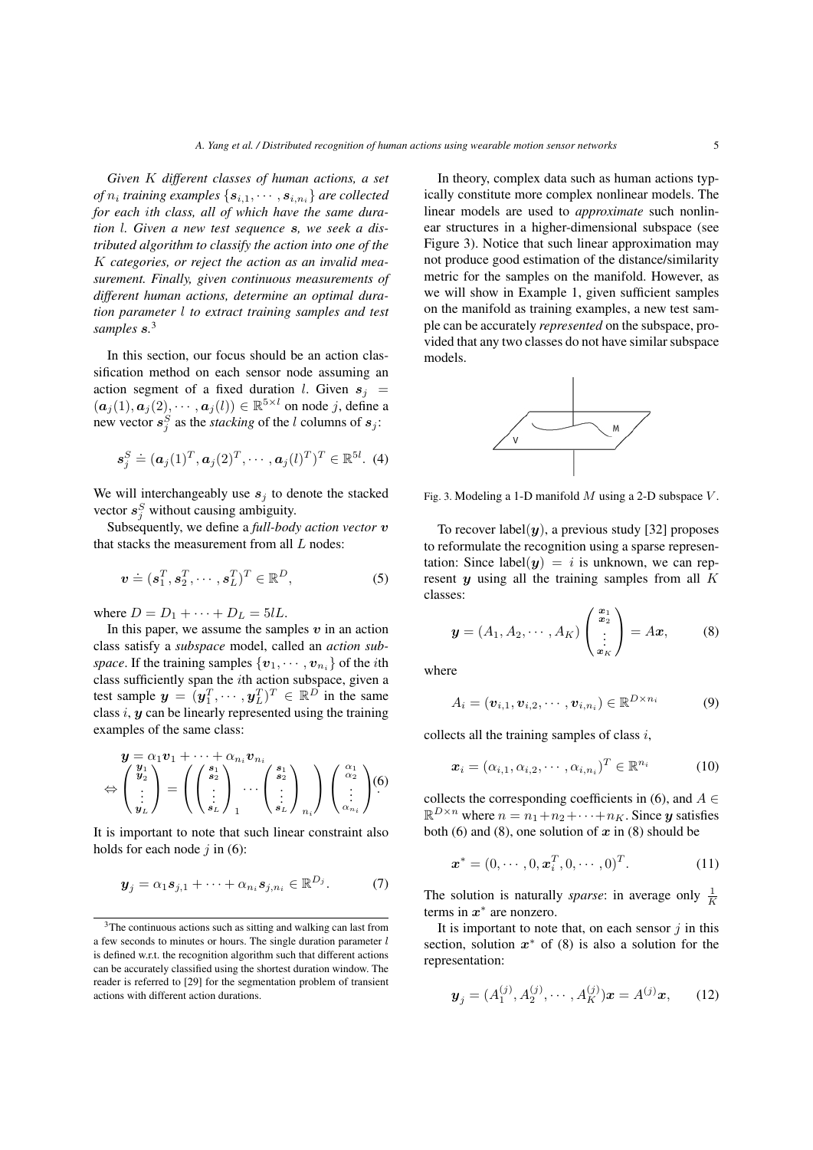*Given* K *different classes of human actions, a set*  $of$   $n_i$  training examples  $\{s_{i,1}, \cdots, s_{i,n_i}\}$  are collected *for each* i*th class, all of which have the same duration* l*. Given a new test sequence* s*, we seek a distributed algorithm to classify the action into one of the* K *categories, or reject the action as an invalid measurement. Finally, given continuous measurements of different human actions, determine an optimal duration parameter* l *to extract training samples and test samples* s*.* 3

In this section, our focus should be an action classification method on each sensor node assuming an action segment of a fixed duration l. Given  $s_i$  =  $(a_j(1), a_j(2), \cdots, a_j(l)) \in \mathbb{R}^{5 \times l}$  on node j, define a new vector  $s_j^S$  as the *stacking* of the *l* columns of  $s_j$ :

$$
\boldsymbol{s}_j^S \doteq (\boldsymbol{a}_j(1)^T, \boldsymbol{a}_j(2)^T, \cdots, \boldsymbol{a}_j(l)^T)^T \in \mathbb{R}^{5l}.
$$
 (4)

We will interchangeably use  $s_j$  to denote the stacked vector  $s_j^S$  without causing ambiguity.

Subsequently, we define a *full-body action vector* v that stacks the measurement from all  $L$  nodes:

$$
\boldsymbol{v} \doteq (\boldsymbol{s}_1^T, \boldsymbol{s}_2^T, \cdots, \boldsymbol{s}_L^T)^T \in \mathbb{R}^D, \tag{5}
$$

where  $D = D_1 + \cdots + D_L = 5lL$ .

In this paper, we assume the samples  $v$  in an action class satisfy a *subspace* model, called an *action subspace*. If the training samples  $\{v_1, \dots, v_{n_i}\}$  of the *i*th class sufficiently span the ith action subspace, given a test sample  $\mathbf{y} = (\mathbf{y}_1^T, \cdots, \mathbf{y}_L^T)^T \in \mathbb{R}^D$  in the same class  $i, y$  can be linearly represented using the training examples of the same class:

$$
\mathcal{Y} = \alpha_1 \mathbf{v}_1 + \dots + \alpha_{n_i} \mathbf{v}_{n_i}
$$
  

$$
\Leftrightarrow \begin{pmatrix} \mathbf{y}_1 \\ \mathbf{y}_2 \\ \vdots \\ \mathbf{y}_L \end{pmatrix} = \left( \begin{pmatrix} s_1 \\ s_2 \\ \vdots \\ s_L \end{pmatrix}_{1} \cdots \begin{pmatrix} s_1 \\ s_2 \\ \vdots \\ s_L \end{pmatrix}_{n_i} \right) \begin{pmatrix} \alpha_1 \\ \alpha_2 \\ \vdots \\ \alpha_{n_i} \end{pmatrix} (6)
$$

It is important to note that such linear constraint also holds for each node  $j$  in (6):

$$
\boldsymbol{y}_j = \alpha_1 \boldsymbol{s}_{j,1} + \cdots + \alpha_{n_i} \boldsymbol{s}_{j,n_i} \in \mathbb{R}^{D_j}.
$$
 (7)

In theory, complex data such as human actions typically constitute more complex nonlinear models. The linear models are used to *approximate* such nonlinear structures in a higher-dimensional subspace (see Figure 3). Notice that such linear approximation may not produce good estimation of the distance/similarity metric for the samples on the manifold. However, as we will show in Example 1, given sufficient samples on the manifold as training examples, a new test sample can be accurately *represented* on the subspace, provided that any two classes do not have similar subspace models.



Fig. 3. Modeling a 1-D manifold  $M$  using a 2-D subspace  $V$ .

To recover label $(y)$ , a previous study [32] proposes to reformulate the recognition using a sparse representation: Since label $(y) = i$  is unknown, we can represent  $\boldsymbol{\eta}$  using all the training samples from all K classes:

$$
\mathbf{y} = (A_1, A_2, \cdots, A_K) \begin{pmatrix} \mathbf{x}_1 \\ \mathbf{x}_2 \\ \vdots \\ \mathbf{x}_K \end{pmatrix} = A\mathbf{x}, \quad (8)
$$

where

$$
A_i = (\boldsymbol{v}_{i,1}, \boldsymbol{v}_{i,2}, \cdots, \boldsymbol{v}_{i,n_i}) \in \mathbb{R}^{D \times n_i}
$$
 (9)

collects all the training samples of class  $i$ ,

$$
\boldsymbol{x}_i = (\alpha_{i,1}, \alpha_{i,2}, \cdots, \alpha_{i,n_i})^T \in \mathbb{R}^{n_i}
$$
 (10)

collects the corresponding coefficients in (6), and  $A \in$  $\mathbb{R}^{D \times n}$  where  $n = n_1 + n_2 + \cdots + n_K$ . Since y satisfies both (6) and (8), one solution of  $x$  in (8) should be

$$
\boldsymbol{x}^* = (0, \cdots, 0, \boldsymbol{x}_i^T, 0, \cdots, 0)^T.
$$
 (11)

The solution is naturally *sparse*: in average only  $\frac{1}{K}$ terms in  $x^*$  are nonzero.

It is important to note that, on each sensor  $j$  in this section, solution  $x^*$  of (8) is also a solution for the representation:

$$
\boldsymbol{y}_j = (A_1^{(j)}, A_2^{(j)}, \cdots, A_K^{(j)})\boldsymbol{x} = A^{(j)}\boldsymbol{x},\qquad(12)
$$

<sup>3</sup>The continuous actions such as sitting and walking can last from a few seconds to minutes or hours. The single duration parameter  $l$ is defined w.r.t. the recognition algorithm such that different actions can be accurately classified using the shortest duration window. The reader is referred to [29] for the segmentation problem of transient actions with different action durations.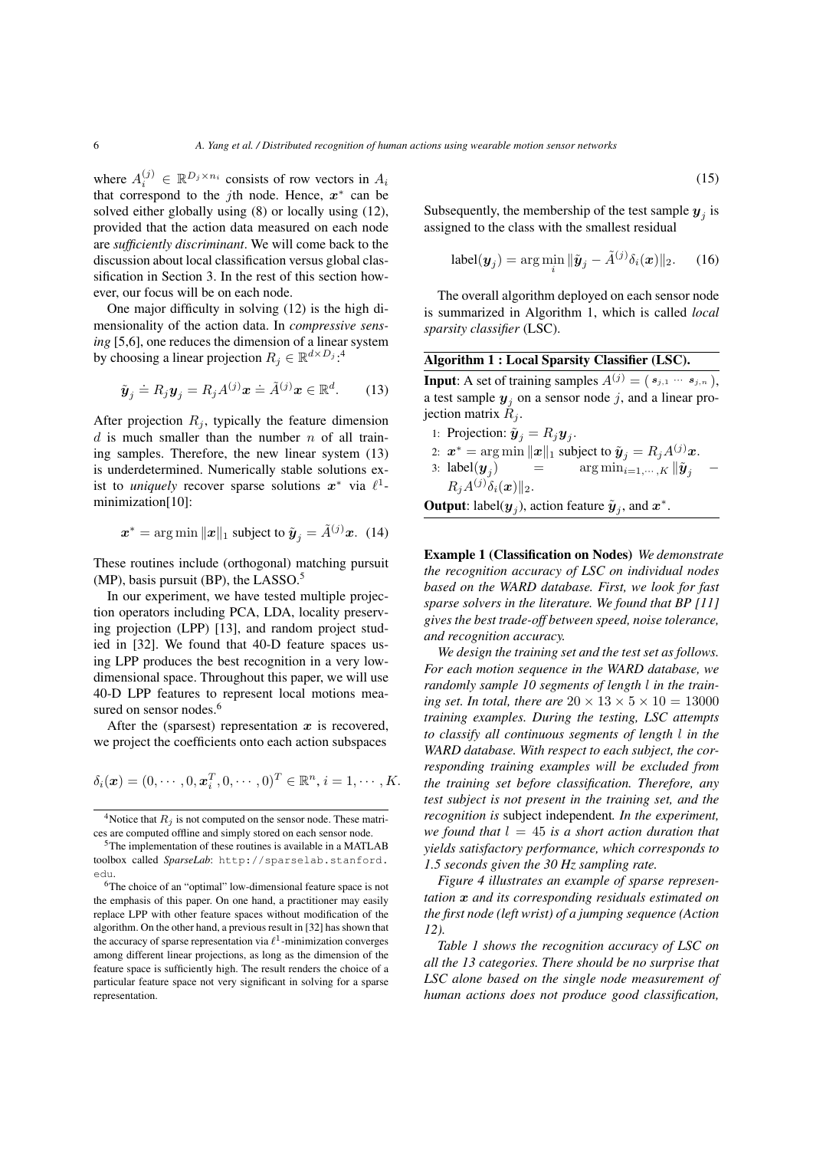where  $A_i^{(j)} \in \mathbb{R}^{D_j \times n_i}$  consists of row vectors in  $A_i$ that correspond to the *j*th node. Hence,  $x^*$  can be solved either globally using (8) or locally using (12), provided that the action data measured on each node are *sufficiently discriminant*. We will come back to the discussion about local classification versus global classification in Section 3. In the rest of this section however, our focus will be on each node.

One major difficulty in solving (12) is the high dimensionality of the action data. In *compressive sensing* [5,6], one reduces the dimension of a linear system by choosing a linear projection  $R_j \in \mathbb{R}^{d \times D_j}$ :<sup>4</sup>

$$
\tilde{\boldsymbol{y}}_j \doteq R_j \boldsymbol{y}_j = R_j A^{(j)} \boldsymbol{x} \doteq \tilde{A}^{(j)} \boldsymbol{x} \in \mathbb{R}^d.
$$
 (13)

After projection  $R_i$ , typically the feature dimension  $d$  is much smaller than the number  $n$  of all training samples. Therefore, the new linear system (13) is underdetermined. Numerically stable solutions exist to *uniquely* recover sparse solutions  $x^*$  via  $\ell^1$ minimization[10]:

$$
\boldsymbol{x}^* = \arg \min ||\boldsymbol{x}||_1 \text{ subject to } \tilde{\boldsymbol{y}}_j = \tilde{A}^{(j)} \boldsymbol{x}. \tag{14}
$$

These routines include (orthogonal) matching pursuit (MP), basis pursuit (BP), the LASSO.<sup>5</sup>

In our experiment, we have tested multiple projection operators including PCA, LDA, locality preserving projection (LPP) [13], and random project studied in [32]. We found that 40-D feature spaces using LPP produces the best recognition in a very lowdimensional space. Throughout this paper, we will use 40-D LPP features to represent local motions measured on sensor nodes.<sup>6</sup>

After the (sparsest) representation  $x$  is recovered, we project the coefficients onto each action subspaces

$$
\delta_i(\boldsymbol{x}) = (0, \cdots, 0, \boldsymbol{x}_i^T, 0, \cdots, 0)^T \in \mathbb{R}^n, i = 1, \cdots, K.
$$

(15)

Subsequently, the membership of the test sample  $y_j$  is assigned to the class with the smallest residual

$$
label(\boldsymbol{y}_j) = \arg\min_i \|\tilde{\boldsymbol{y}}_j - \tilde{A}^{(j)}\delta_i(\boldsymbol{x})\|_2.
$$
 (16)

The overall algorithm deployed on each sensor node is summarized in Algorithm 1, which is called *local sparsity classifier* (LSC).

**Input:** A set of training samples  $A^{(j)} = (s_{j,1} \cdots s_{j,n}),$ a test sample  $y_j$  on a sensor node j, and a linear projection matrix  $R_i$ .

- 1: Projection:  $\tilde{\boldsymbol{y}}_j = R_j \boldsymbol{y}_j$ .
- 2:  $\boldsymbol{x}^* = \arg \min \| \boldsymbol{x} \|_1$  subject to  $\tilde{\boldsymbol{y}}_j = R_j A^{(j)} \boldsymbol{x}$ . 3: label $(\boldsymbol{y}_i)$  $=$  arg  $\min_{i=1,\cdots,K}$   $\|\tilde{\bm{y}}_i\|$  –  $R_j A^{(j)} \delta_i(\boldsymbol{x}) ||_2.$

**Output**: label( $y_j$ ), action feature  $\tilde{y}_j$ , and  $x^*$ .

Example 1 (Classification on Nodes) *We demonstrate the recognition accuracy of LSC on individual nodes based on the WARD database. First, we look for fast sparse solvers in the literature. We found that BP [11] gives the best trade-off between speed, noise tolerance, and recognition accuracy.*

*We design the training set and the test set as follows. For each motion sequence in the WARD database, we randomly sample 10 segments of length* l *in the training set. In total, there are*  $20 \times 13 \times 5 \times 10 = 13000$ *training examples. During the testing, LSC attempts to classify all continuous segments of length* l *in the WARD database. With respect to each subject, the corresponding training examples will be excluded from the training set before classification. Therefore, any test subject is not present in the training set, and the recognition is* subject independent*. In the experiment, we found that*  $l = 45$  *is a short action duration that yields satisfactory performance, which corresponds to 1.5 seconds given the 30 Hz sampling rate.*

*Figure 4 illustrates an example of sparse representation* x *and its corresponding residuals estimated on the first node (left wrist) of a jumping sequence (Action 12).*

*Table 1 shows the recognition accuracy of LSC on all the 13 categories. There should be no surprise that LSC alone based on the single node measurement of human actions does not produce good classification,*

<sup>&</sup>lt;sup>4</sup>Notice that  $R_j$  is not computed on the sensor node. These matrices are computed offline and simply stored on each sensor node.

<sup>5</sup>The implementation of these routines is available in a MATLAB toolbox called *SparseLab*: http://sparselab.stanford. edu.

<sup>6</sup>The choice of an "optimal" low-dimensional feature space is not the emphasis of this paper. On one hand, a practitioner may easily replace LPP with other feature spaces without modification of the algorithm. On the other hand, a previous result in [32] has shown that the accuracy of sparse representation via  $\ell^1$ -minimization converges among different linear projections, as long as the dimension of the feature space is sufficiently high. The result renders the choice of a particular feature space not very significant in solving for a sparse representation.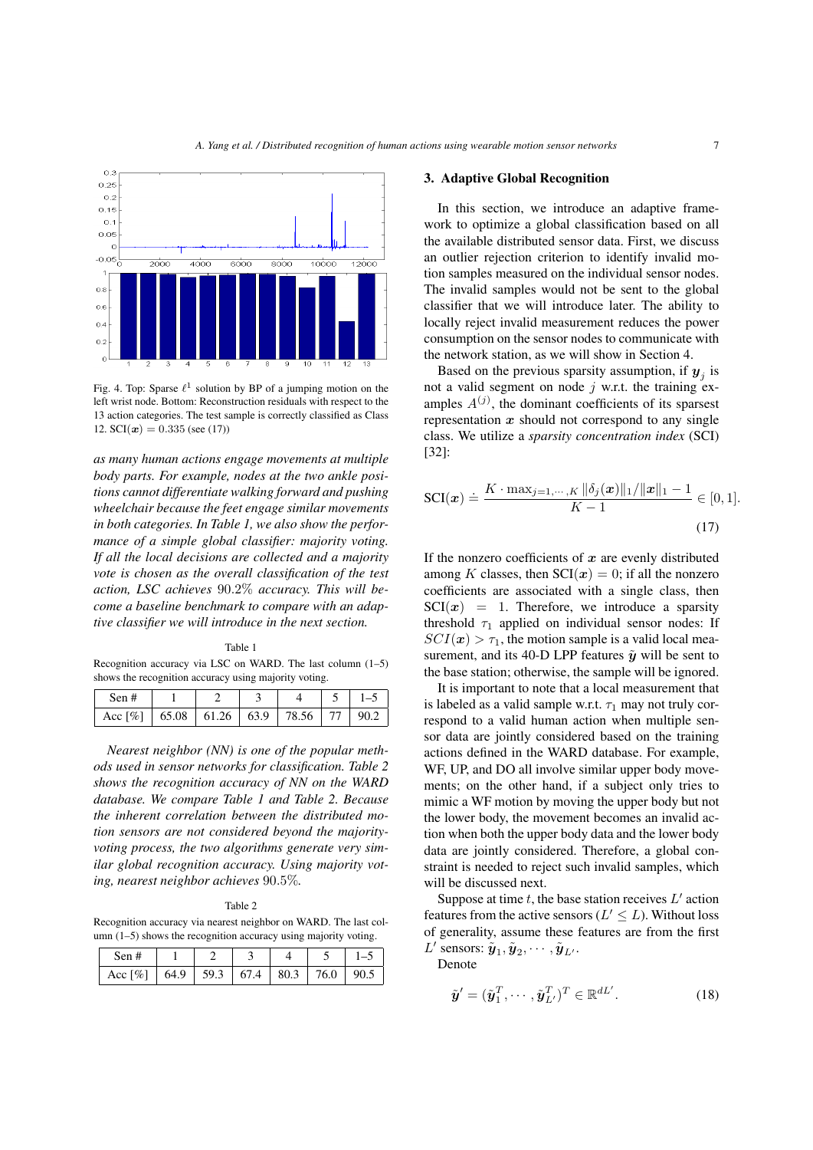

Fig. 4. Top: Sparse  $\ell^1$  solution by BP of a jumping motion on the left wrist node. Bottom: Reconstruction residuals with respect to the 13 action categories. The test sample is correctly classified as Class 12.  $SCI(\mathbf{x}) = 0.335$  (see (17))

*as many human actions engage movements at multiple body parts. For example, nodes at the two ankle positions cannot differentiate walking forward and pushing wheelchair because the feet engage similar movements in both categories. In Table 1, we also show the performance of a simple global classifier: majority voting. If all the local decisions are collected and a majority vote is chosen as the overall classification of the test action, LSC achieves* 90.2% *accuracy. This will become a baseline benchmark to compare with an adaptive classifier we will introduce in the next section.*

Table 1 Recognition accuracy via LSC on WARD. The last column (1–5) shows the recognition accuracy using majority voting.

| Sen #                                                            |  |  |  |
|------------------------------------------------------------------|--|--|--|
| Acc $\lceil\% \rceil$   65.08   61.26   63.9   78.56   77   90.2 |  |  |  |

*Nearest neighbor (NN) is one of the popular methods used in sensor networks for classification. Table 2 shows the recognition accuracy of NN on the WARD database. We compare Table 1 and Table 2. Because the inherent correlation between the distributed motion sensors are not considered beyond the majorityvoting process, the two algorithms generate very similar global recognition accuracy. Using majority voting, nearest neighbor achieves* 90.5%*.*

Table 2

Recognition accuracy via nearest neighbor on WARD. The last column (1–5) shows the recognition accuracy using majority voting.

| Sen#                                              |  |  |  |
|---------------------------------------------------|--|--|--|
| Acc [%]   64.9   59.3   67.4   80.3   76.0   90.5 |  |  |  |

#### 3. Adaptive Global Recognition

In this section, we introduce an adaptive framework to optimize a global classification based on all the available distributed sensor data. First, we discuss an outlier rejection criterion to identify invalid motion samples measured on the individual sensor nodes. The invalid samples would not be sent to the global classifier that we will introduce later. The ability to locally reject invalid measurement reduces the power consumption on the sensor nodes to communicate with the network station, as we will show in Section 4.

Based on the previous sparsity assumption, if  $y_j$  is not a valid segment on node  $j$  w.r.t. the training examples  $A^{(j)}$ , the dominant coefficients of its sparsest representation  $x$  should not correspond to any single class. We utilize a *sparsity concentration index* (SCI) [32]:

$$
SCI(x) \doteq \frac{K \cdot \max_{j=1,\dots,K} \|\delta_j(x)\|_1 / \|x\|_1 - 1}{K - 1} \in [0, 1].
$$
\n(17)

If the nonzero coefficients of  $x$  are evenly distributed among K classes, then  $\text{SCI}(x) = 0$ ; if all the nonzero coefficients are associated with a single class, then  $\text{SCI}(x) = 1$ . Therefore, we introduce a sparsity threshold  $\tau_1$  applied on individual sensor nodes: If  $SCI(x) > \tau_1$ , the motion sample is a valid local measurement, and its 40-D LPP features  $\tilde{\mathbf{y}}$  will be sent to the base station; otherwise, the sample will be ignored.

It is important to note that a local measurement that is labeled as a valid sample w.r.t.  $\tau_1$  may not truly correspond to a valid human action when multiple sensor data are jointly considered based on the training actions defined in the WARD database. For example, WF, UP, and DO all involve similar upper body movements; on the other hand, if a subject only tries to mimic a WF motion by moving the upper body but not the lower body, the movement becomes an invalid action when both the upper body data and the lower body data are jointly considered. Therefore, a global constraint is needed to reject such invalid samples, which will be discussed next.

Suppose at time  $t$ , the base station receives  $L'$  action features from the active sensors ( $L' \leq L$ ). Without loss of generality, assume these features are from the first  $L'$  sensors:  $\tilde{\boldsymbol{y}}_1, \tilde{\boldsymbol{y}}_2, \cdots, \tilde{\boldsymbol{y}}_{L'}$ .

Denote

$$
\tilde{\mathbf{y}}' = (\tilde{\mathbf{y}}_1^T, \cdots, \tilde{\mathbf{y}}_{L'}^T)^T \in \mathbb{R}^{dL'}.
$$
 (18)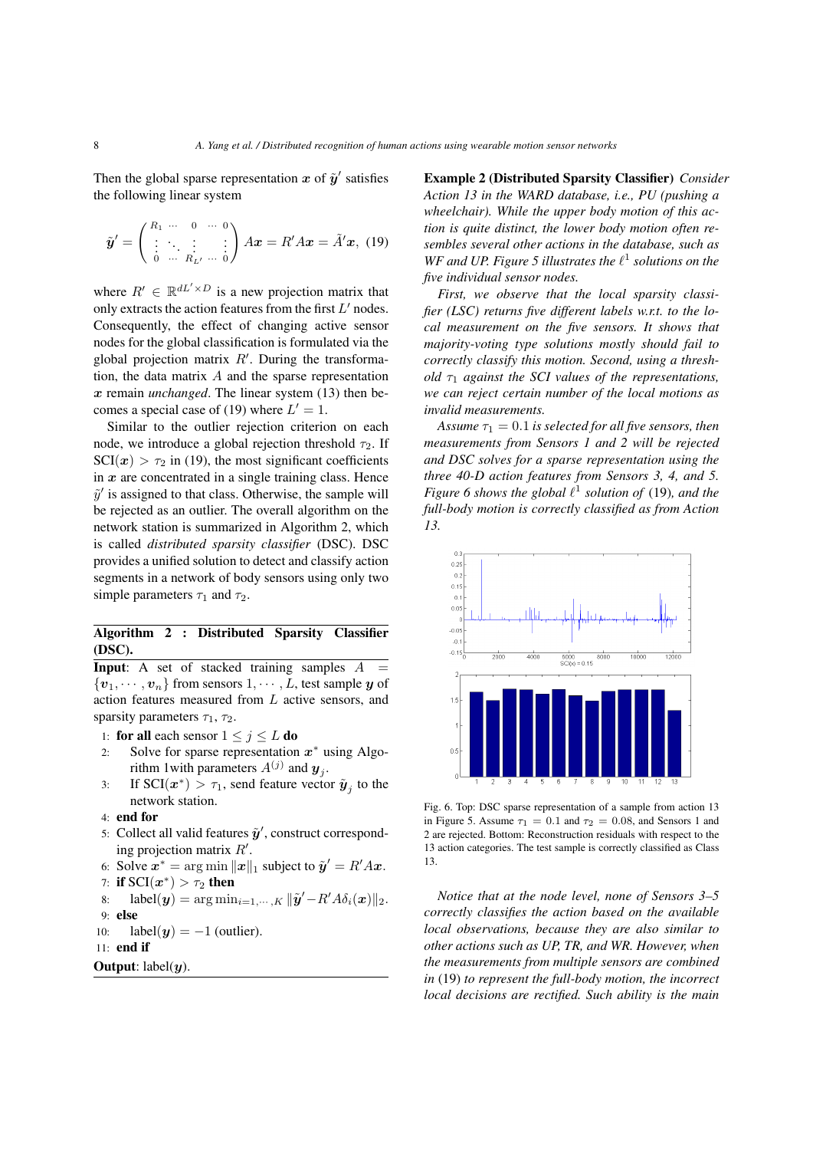Then the global sparse representation x of  $\tilde{y}'$  satisfies the following linear system

$$
\tilde{\boldsymbol{y}}' = \begin{pmatrix} R_1 & \cdots & 0 & \cdots & 0 \\ \vdots & \ddots & \vdots & \vdots \\ 0 & \cdots & R_L' & \cdots & 0 \end{pmatrix} A \boldsymbol{x} = R' A \boldsymbol{x} = \tilde{A}' \boldsymbol{x}, \ (19)
$$

where  $R' \in \mathbb{R}^{dL' \times D}$  is a new projection matrix that only extracts the action features from the first  $L'$  nodes. Consequently, the effect of changing active sensor nodes for the global classification is formulated via the global projection matrix  $R'$ . During the transformation, the data matrix  $A$  and the sparse representation x remain *unchanged*. The linear system (13) then becomes a special case of (19) where  $L' = 1$ .

Similar to the outlier rejection criterion on each node, we introduce a global rejection threshold  $\tau_2$ . If  $\text{SCI}(x) > \tau_2$  in (19), the most significant coefficients in  $x$  are concentrated in a single training class. Hence  $\tilde{y}'$  is assigned to that class. Otherwise, the sample will be rejected as an outlier. The overall algorithm on the network station is summarized in Algorithm 2, which is called *distributed sparsity classifier* (DSC). DSC provides a unified solution to detect and classify action segments in a network of body sensors using only two simple parameters  $\tau_1$  and  $\tau_2$ .

# Algorithm 2 : Distributed Sparsity Classifier (DSC).

**Input:** A set of stacked training samples  $A =$  $\{v_1, \dots, v_n\}$  from sensors  $1, \dots, L$ , test sample y of action features measured from L active sensors, and sparsity parameters  $\tau_1$ ,  $\tau_2$ .

1: for all each sensor  $1 \leq j \leq L$  do

- 2: Solve for sparse representation  $x^*$  using Algorithm 1 with parameters  $A^{(j)}$  and  $y_j$ .
- 3: If  $\text{SCI}(x^*) > \tau_1$ , send feature vector  $\tilde{\mathbf{y}}_j$  to the network station.
- 4: end for
- 5: Collect all valid features  $\tilde{y}'$ , construct corresponding projection matrix  $R'$ .
- 6: Solve  $\mathbf{x}^* = \arg \min ||\mathbf{x}||_1$  subject to  $\tilde{\mathbf{y}}' = R' A \mathbf{x}$ . 7: if  $\text{SCI}(x^*) > \tau_2$  then

$$
T: \mathbf{H} \text{ } \mathbf{S} \text{ } \mathbf{C} \text{ } \mathbf{I}(\mathbf{x}^{\prime}) > T_2 \text{ } \mathbf{H} \text{ } \mathbf{H} \text{ }
$$

8: 
$$
label(\mathbf{y}) = \arg \min_{i=1,\cdots,K} ||\mathbf{\tilde{y}}' - R'A\delta_i(\mathbf{x})||_2
$$
.  
9: **else**

10: 
$$
label(y) = -1
$$
 (outlier).

$$
11: \text{ end if }
$$

**Output:** label( $u$ ).

Example 2 (Distributed Sparsity Classifier) *Consider Action 13 in the WARD database, i.e., PU (pushing a wheelchair). While the upper body motion of this action is quite distinct, the lower body motion often resembles several other actions in the database, such as* WF and UP. Figure 5 illustrates the  $\ell^1$  solutions on the *five individual sensor nodes.*

*First, we observe that the local sparsity classifier (LSC) returns five different labels w.r.t. to the local measurement on the five sensors. It shows that majority-voting type solutions mostly should fail to correctly classify this motion. Second, using a threshold*  $\tau_1$  *against the SCI values of the representations, we can reject certain number of the local motions as invalid measurements.*

*Assume*  $\tau_1 = 0.1$  *is selected for all five sensors, then measurements from Sensors 1 and 2 will be rejected and DSC solves for a sparse representation using the three 40-D action features from Sensors 3, 4, and 5. Figure* 6 shows the global  $\ell^1$  solution of (19), and the *full-body motion is correctly classified as from Action 13.*



Fig. 6. Top: DSC sparse representation of a sample from action 13 in Figure 5. Assume  $\tau_1 = 0.1$  and  $\tau_2 = 0.08$ , and Sensors 1 and 2 are rejected. Bottom: Reconstruction residuals with respect to the 13 action categories. The test sample is correctly classified as Class 13.

*Notice that at the node level, none of Sensors 3–5 correctly classifies the action based on the available local observations, because they are also similar to other actions such as UP, TR, and WR. However, when the measurements from multiple sensors are combined in* (19) *to represent the full-body motion, the incorrect local decisions are rectified. Such ability is the main*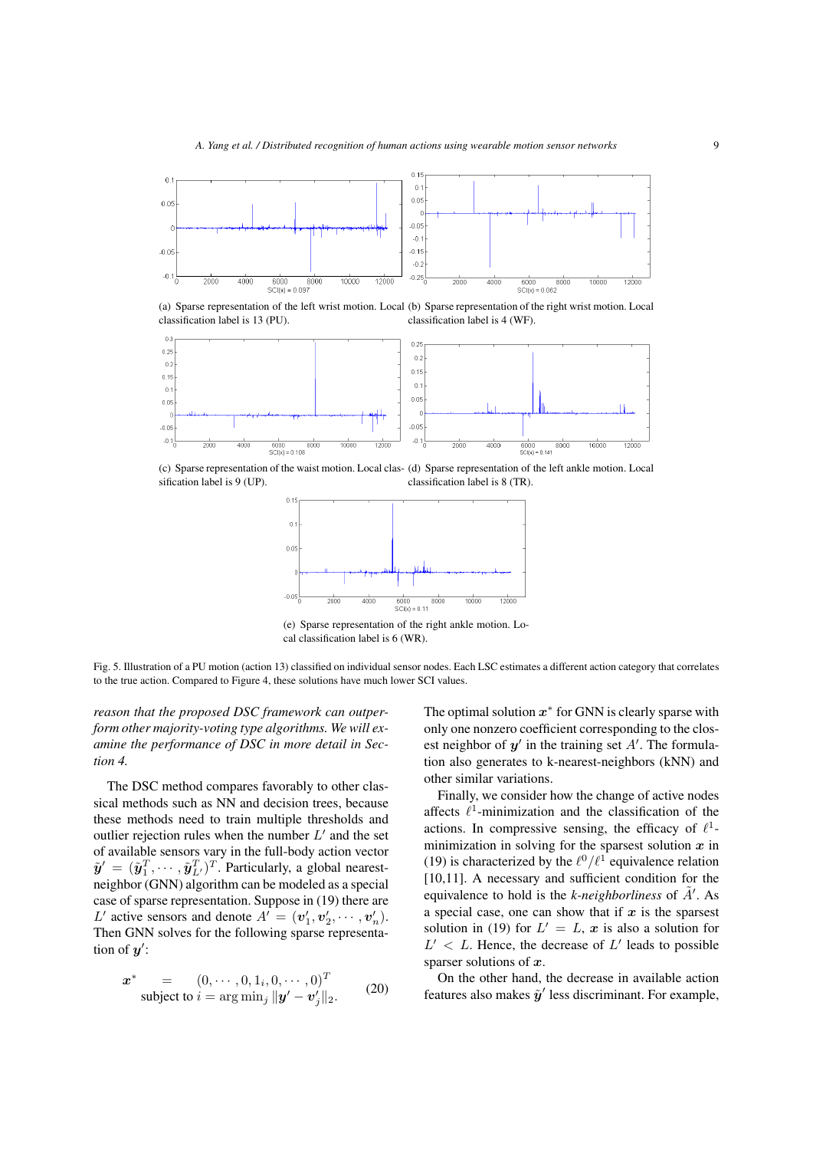

(a) Sparse representation of the left wrist motion. Local (b) Sparse representation of the right wrist motion. Local classification label is 13 (PU). classification label is 4 (WF).



(c) Sparse representation of the waist motion. Local clas-(d) Sparse representation of the left ankle motion. Local sification label is 9 (UP). classification label is 8 (TR).



(e) Sparse representation of the right ankle motion. Local classification label is 6 (WR).

Fig. 5. Illustration of a PU motion (action 13) classified on individual sensor nodes. Each LSC estimates a different action category that correlates to the true action. Compared to Figure 4, these solutions have much lower SCI values.

*reason that the proposed DSC framework can outperform other majority-voting type algorithms. We will examine the performance of DSC in more detail in Section 4.*

The DSC method compares favorably to other classical methods such as NN and decision trees, because these methods need to train multiple thresholds and outlier rejection rules when the number  $L'$  and the set of available sensors vary in the full-body action vector  $\tilde{\mathbf{y}}' = (\tilde{\mathbf{y}}_1^T, \cdots, \tilde{\mathbf{y}}_{L'}^T)^T$ . Particularly, a global nearestneighbor (GNN) algorithm can be modeled as a special case of sparse representation. Suppose in (19) there are L' active sensors and denote  $A' = (v'_1, v'_2, \dots, v'_n)$ . Then GNN solves for the following sparse representation of  $y'$ :

$$
\boldsymbol{x}^* = (0, \cdots, 0, 1_i, 0, \cdots, 0)^T
$$
  
subject to  $i = \arg \min_j ||\boldsymbol{y}' - \boldsymbol{v}'_j||_2.$  (20)

The optimal solution  $x^*$  for GNN is clearly sparse with only one nonzero coefficient corresponding to the closest neighbor of  $y'$  in the training set  $A'$ . The formulation also generates to k-nearest-neighbors (kNN) and other similar variations.

Finally, we consider how the change of active nodes affects  $\ell^1$ -minimization and the classification of the actions. In compressive sensing, the efficacy of  $\ell^1$ minimization in solving for the sparsest solution  $x$  in (19) is characterized by the  $\ell^0/\ell^1$  equivalence relation [10,11]. A necessary and sufficient condition for the equivalence to hold is the *k*-neighborliness of  $\tilde{A}'$ . As a special case, one can show that if  $x$  is the sparsest solution in (19) for  $L' = L$ , x is also a solution for  $L' < L$ . Hence, the decrease of  $L'$  leads to possible sparser solutions of  $x$ .

On the other hand, the decrease in available action features also makes  $\tilde{y}'$  less discriminant. For example,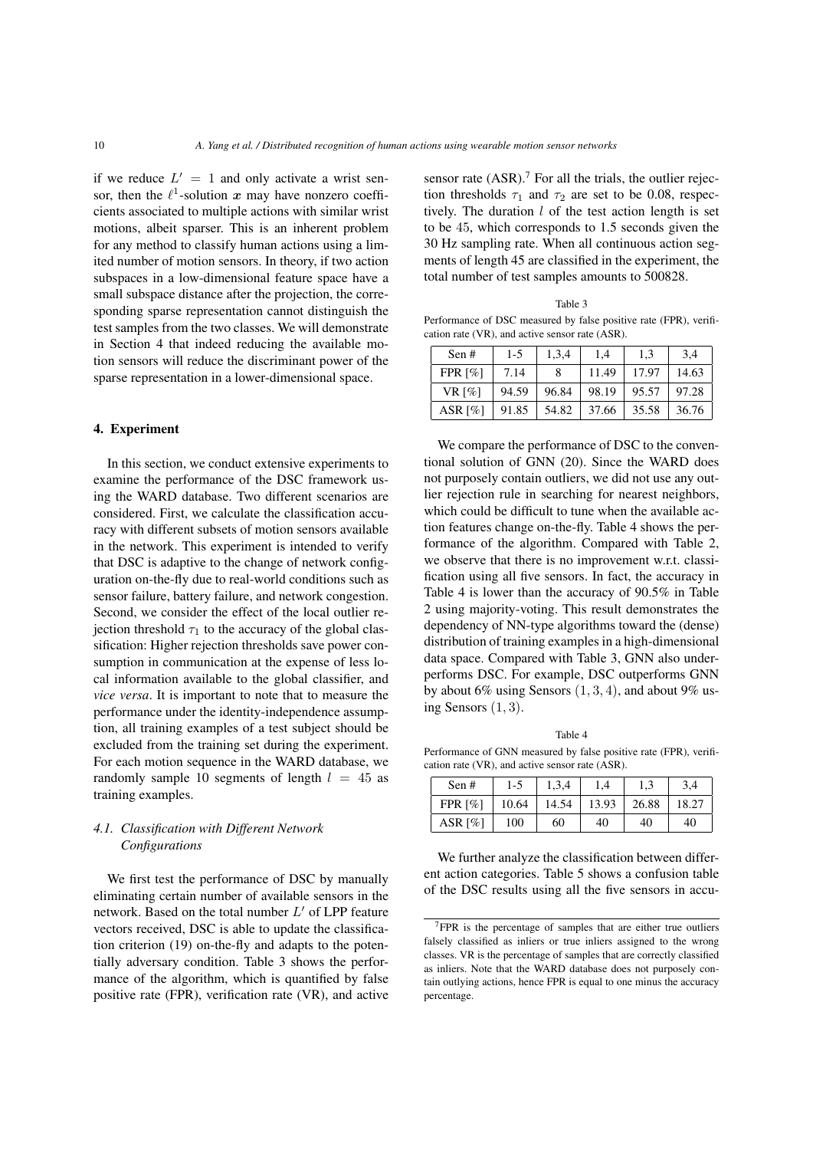if we reduce  $L' = 1$  and only activate a wrist sensor, then the  $\ell^1$ -solution x may have nonzero coefficients associated to multiple actions with similar wrist motions, albeit sparser. This is an inherent problem for any method to classify human actions using a limited number of motion sensors. In theory, if two action subspaces in a low-dimensional feature space have a small subspace distance after the projection, the corresponding sparse representation cannot distinguish the test samples from the two classes. We will demonstrate in Section 4 that indeed reducing the available motion sensors will reduce the discriminant power of the sparse representation in a lower-dimensional space.

## 4. Experiment

In this section, we conduct extensive experiments to examine the performance of the DSC framework using the WARD database. Two different scenarios are considered. First, we calculate the classification accuracy with different subsets of motion sensors available in the network. This experiment is intended to verify that DSC is adaptive to the change of network configuration on-the-fly due to real-world conditions such as sensor failure, battery failure, and network congestion. Second, we consider the effect of the local outlier rejection threshold  $\tau_1$  to the accuracy of the global classification: Higher rejection thresholds save power consumption in communication at the expense of less local information available to the global classifier, and *vice versa*. It is important to note that to measure the performance under the identity-independence assumption, all training examples of a test subject should be excluded from the training set during the experiment. For each motion sequence in the WARD database, we randomly sample 10 segments of length  $l = 45$  as training examples.

# *4.1. Classification with Different Network Configurations*

We first test the performance of DSC by manually eliminating certain number of available sensors in the network. Based on the total number  $L'$  of LPP feature vectors received, DSC is able to update the classification criterion (19) on-the-fly and adapts to the potentially adversary condition. Table 3 shows the performance of the algorithm, which is quantified by false positive rate (FPR), verification rate (VR), and active sensor rate  $(ASR)$ .<sup>7</sup> For all the trials, the outlier rejection thresholds  $\tau_1$  and  $\tau_2$  are set to be 0.08, respectively. The duration  $l$  of the test action length is set to be 45, which corresponds to 1.5 seconds given the 30 Hz sampling rate. When all continuous action segments of length 45 are classified in the experiment, the total number of test samples amounts to 500828.

| Table 3                                                           |
|-------------------------------------------------------------------|
| Performance of DSC measured by false positive rate (FPR), verifi- |
| cation rate (VR), and active sensor rate (ASR).                   |

| Sen#                   | $1-5$ | 1,3,4 | 1.4   | 1.3   | 3,4   |
|------------------------|-------|-------|-------|-------|-------|
| FPR $\lceil\% \rceil$  | 7.14  |       | 11.49 | 17.97 | 14.63 |
| VR $\lceil\% \rceil$   | 94.59 | 96.84 | 98.19 | 95.57 | 97.28 |
| ASR $\lceil \% \rceil$ | 91.85 | 54.82 | 37.66 | 35.58 | 36.76 |

We compare the performance of DSC to the conventional solution of GNN (20). Since the WARD does not purposely contain outliers, we did not use any outlier rejection rule in searching for nearest neighbors, which could be difficult to tune when the available action features change on-the-fly. Table 4 shows the performance of the algorithm. Compared with Table 2, we observe that there is no improvement w.r.t. classification using all five sensors. In fact, the accuracy in Table 4 is lower than the accuracy of 90.5% in Table 2 using majority-voting. This result demonstrates the dependency of NN-type algorithms toward the (dense) distribution of training examples in a high-dimensional data space. Compared with Table 3, GNN also underperforms DSC. For example, DSC outperforms GNN by about 6% using Sensors  $(1, 3, 4)$ , and about 9% using Sensors  $(1, 3)$ .

Table 4 Performance of GNN measured by false positive rate (FPR), verification rate (VR), and active sensor rate (ASR).

| Sen #                  | 1-5   | 1,3,4 | 1.4   |       | 3.4   |
|------------------------|-------|-------|-------|-------|-------|
| FPR $[%]$              | 10.64 | 14.54 | 13.93 | 26.88 | 18.27 |
| ASR $\lceil \% \rceil$ | 100   | 60    | 40    | 40    | 40    |

We further analyze the classification between different action categories. Table 5 shows a confusion table of the DSC results using all the five sensors in accu-

<sup>7</sup>FPR is the percentage of samples that are either true outliers falsely classified as inliers or true inliers assigned to the wrong classes. VR is the percentage of samples that are correctly classified as inliers. Note that the WARD database does not purposely contain outlying actions, hence FPR is equal to one minus the accuracy percentage.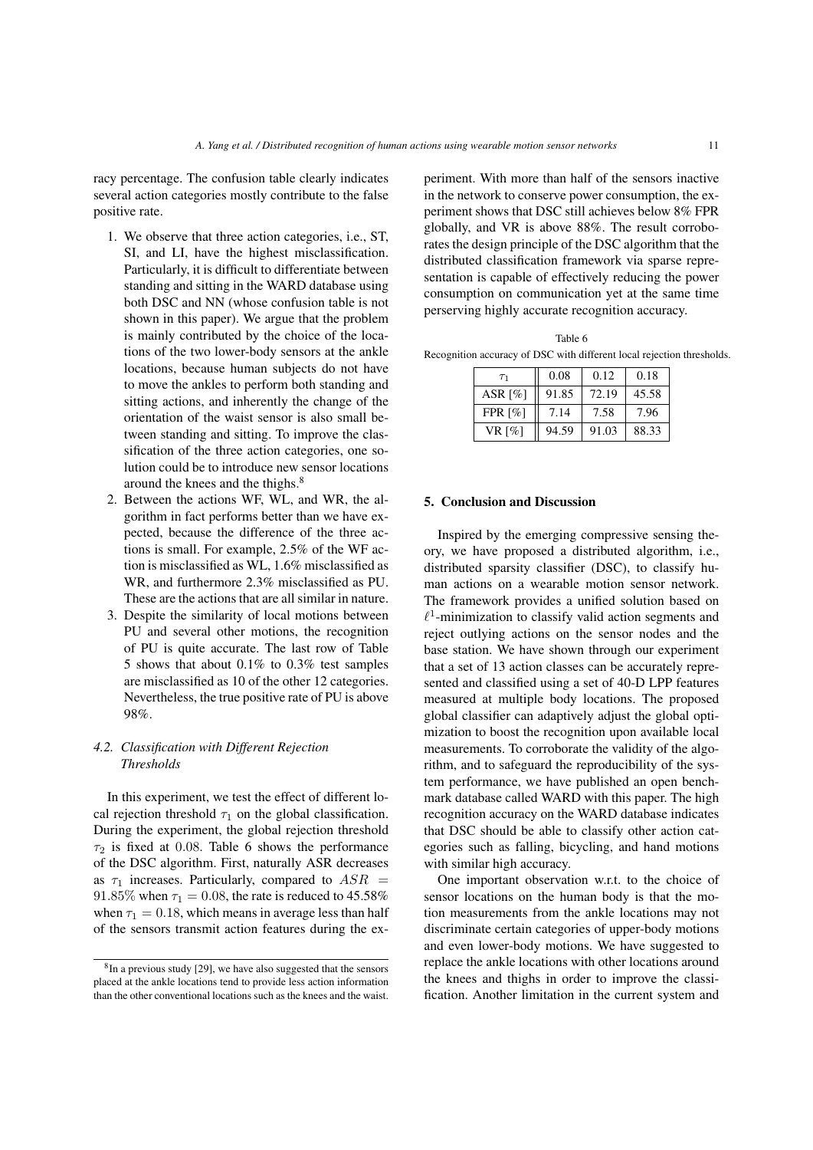racy percentage. The confusion table clearly indicates several action categories mostly contribute to the false positive rate.

- 1. We observe that three action categories, i.e., ST, SI, and LI, have the highest misclassification. Particularly, it is difficult to differentiate between standing and sitting in the WARD database using both DSC and NN (whose confusion table is not shown in this paper). We argue that the problem is mainly contributed by the choice of the locations of the two lower-body sensors at the ankle locations, because human subjects do not have to move the ankles to perform both standing and sitting actions, and inherently the change of the orientation of the waist sensor is also small between standing and sitting. To improve the classification of the three action categories, one solution could be to introduce new sensor locations around the knees and the thighs.<sup>8</sup>
- 2. Between the actions WF, WL, and WR, the algorithm in fact performs better than we have expected, because the difference of the three actions is small. For example, 2.5% of the WF action is misclassified as WL, 1.6% misclassified as WR, and furthermore 2.3% misclassified as PU. These are the actions that are all similar in nature.
- 3. Despite the similarity of local motions between PU and several other motions, the recognition of PU is quite accurate. The last row of Table 5 shows that about 0.1% to 0.3% test samples are misclassified as 10 of the other 12 categories. Nevertheless, the true positive rate of PU is above 98%.

## *4.2. Classification with Different Rejection Thresholds*

In this experiment, we test the effect of different local rejection threshold  $\tau_1$  on the global classification. During the experiment, the global rejection threshold  $\tau_2$  is fixed at 0.08. Table 6 shows the performance of the DSC algorithm. First, naturally ASR decreases as  $\tau_1$  increases. Particularly, compared to  $ASR =$ 91.85% when  $\tau_1 = 0.08$ , the rate is reduced to 45.58% when  $\tau_1 = 0.18$ , which means in average less than half of the sensors transmit action features during the experiment. With more than half of the sensors inactive in the network to conserve power consumption, the experiment shows that DSC still achieves below 8% FPR globally, and VR is above 88%. The result corroborates the design principle of the DSC algorithm that the distributed classification framework via sparse representation is capable of effectively reducing the power consumption on communication yet at the same time perserving highly accurate recognition accuracy.

Table 6 Recognition accuracy of DSC with different local rejection thresholds.

| T <sub>1</sub>        | 0.08  | 0.12  | 0.18  |  |
|-----------------------|-------|-------|-------|--|
| ASR $[%]$             | 91.85 | 72.19 | 45.58 |  |
| FPR $\lceil\% \rceil$ | 7.14  | 7.58  | 7.96  |  |
| VR $\lceil\% \rceil$  | 94.59 | 91.03 | 88.33 |  |

#### 5. Conclusion and Discussion

Inspired by the emerging compressive sensing theory, we have proposed a distributed algorithm, i.e., distributed sparsity classifier (DSC), to classify human actions on a wearable motion sensor network. The framework provides a unified solution based on  $\ell^1$ -minimization to classify valid action segments and reject outlying actions on the sensor nodes and the base station. We have shown through our experiment that a set of 13 action classes can be accurately represented and classified using a set of 40-D LPP features measured at multiple body locations. The proposed global classifier can adaptively adjust the global optimization to boost the recognition upon available local measurements. To corroborate the validity of the algorithm, and to safeguard the reproducibility of the system performance, we have published an open benchmark database called WARD with this paper. The high recognition accuracy on the WARD database indicates that DSC should be able to classify other action categories such as falling, bicycling, and hand motions with similar high accuracy.

One important observation w.r.t. to the choice of sensor locations on the human body is that the motion measurements from the ankle locations may not discriminate certain categories of upper-body motions and even lower-body motions. We have suggested to replace the ankle locations with other locations around the knees and thighs in order to improve the classification. Another limitation in the current system and

<sup>&</sup>lt;sup>8</sup>In a previous study [29], we have also suggested that the sensors placed at the ankle locations tend to provide less action information than the other conventional locations such as the knees and the waist.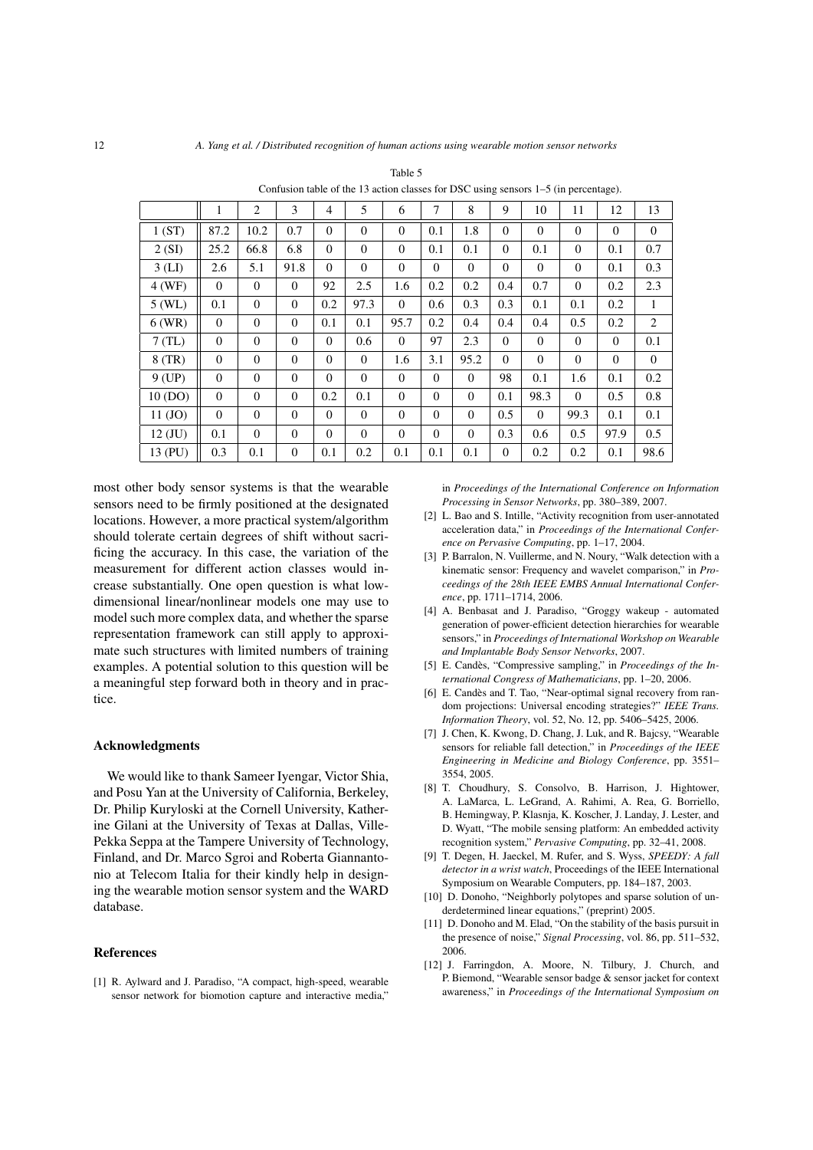|                               | 1        | 2            | 3                | $\overline{4}$ | 5              | 6              | 7        | 8            | 9            | 10       | 11           | 12           | 13           |
|-------------------------------|----------|--------------|------------------|----------------|----------------|----------------|----------|--------------|--------------|----------|--------------|--------------|--------------|
| 1(ST)                         | 87.2     | 10.2         | 0.7              | $\theta$       | $\theta$       | $\Omega$       | 0.1      | 1.8          | $\Omega$     | $\Omega$ | $\theta$     | $\Omega$     | $\Omega$     |
| 2(SI)                         | 25.2     | 66.8         | 6.8              | $\theta$       | $\mathbf{0}$   | $\mathbf{0}$   | 0.1      | 0.1          | $\mathbf{0}$ | 0.1      | $\mathbf{0}$ | 0.1          | 0.7          |
| $3$ (LI)                      | 2.6      | 5.1          | 91.8             | $\Omega$       | $\Omega$       | $\Omega$       | $\Omega$ | $\mathbf{0}$ | $\Omega$     | $\theta$ | $\mathbf{0}$ | 0.1          | 0.3          |
| $4$ (WF)                      | $\Omega$ | $\Omega$     | $\Omega$         | 92             | 2.5            | 1.6            | 0.2      | 0.2          | 0.4          | 0.7      | $\mathbf{0}$ | 0.2          | 2.3          |
| $5$ (WL)                      | 0.1      | $\mathbf{0}$ | $\theta$         | 0.2            | 97.3           | $\Omega$       | 0.6      | 0.3          | 0.3          | 0.1      | 0.1          | 0.2          | $\mathbf{1}$ |
| $6$ (WR)                      | $\Omega$ | $\theta$     | $\theta$         | 0.1            | 0.1            | 95.7           | 0.2      | 0.4          | 0.4          | 0.4      | 0.5          | 0.2          | 2            |
| $7$ (TL)                      | $\theta$ | $\theta$     | $\mathbf{0}$     | $\mathbf{0}$   | 0.6            | $\overline{0}$ | 97       | 2.3          | $\Omega$     | $\theta$ | $\theta$     | $\mathbf{0}$ | 0.1          |
| $8$ (TR)                      | $\theta$ | $\theta$     | $\theta$         | $\theta$       | $\mathbf{0}$   | 1.6            | 3.1      | 95.2         | $\Omega$     | $\theta$ | $\theta$     | $\mathbf{0}$ | $\mathbf{0}$ |
| $9$ (UP)                      | $\Omega$ | $\Omega$     | $\Omega$         | $\Omega$       | $\Omega$       | $\Omega$       | $\Omega$ | $\Omega$     | 98           | 0.1      | 1.6          | 0.1          | 0.2          |
| 10 (DO)                       | $\Omega$ | $\mathbf{0}$ | $\Omega$         | 0.2            | 0.1            | $\Omega$       | $\Omega$ | $\mathbf{0}$ | 0.1          | 98.3     | $\Omega$     | 0.5          | 0.8          |
| 11 (JO)                       | $\Omega$ | $\mathbf{0}$ | $\theta$         | $\mathbf{0}$   | $\overline{0}$ | $\Omega$       | $\Omega$ | $\mathbf{0}$ | 0.5          | $\theta$ | 99.3         | 0.1          | 0.1          |
| $12 \left( \text{JU} \right)$ | 0.1      | $\Omega$     | $\theta$         | $\mathbf{0}$   | $\mathbf{0}$   | $\Omega$       | $\Omega$ | $\mathbf{0}$ | 0.3          | 0.6      | 0.5          | 97.9         | 0.5          |
| 13 (PU)                       | 0.3      | 0.1          | $\boldsymbol{0}$ | 0.1            | 0.2            | 0.1            | 0.1      | 0.1          | $\mathbf{0}$ | 0.2      | 0.2          | 0.1          | 98.6         |

Confusion table of the 13 action classes for DSC using sensors 1–5 (in percentage).

most other body sensor systems is that the wearable sensors need to be firmly positioned at the designated locations. However, a more practical system/algorithm should tolerate certain degrees of shift without sacrificing the accuracy. In this case, the variation of the measurement for different action classes would increase substantially. One open question is what lowdimensional linear/nonlinear models one may use to model such more complex data, and whether the sparse representation framework can still apply to approximate such structures with limited numbers of training examples. A potential solution to this question will be a meaningful step forward both in theory and in practice.

#### Acknowledgments

We would like to thank Sameer Iyengar, Victor Shia, and Posu Yan at the University of California, Berkeley, Dr. Philip Kuryloski at the Cornell University, Katherine Gilani at the University of Texas at Dallas, Ville-Pekka Seppa at the Tampere University of Technology, Finland, and Dr. Marco Sgroi and Roberta Giannantonio at Telecom Italia for their kindly help in designing the wearable motion sensor system and the WARD database.

#### References

[1] R. Aylward and J. Paradiso, "A compact, high-speed, wearable sensor network for biomotion capture and interactive media,"

in *Proceedings of the International Conference on Information Processing in Sensor Networks*, pp. 380–389, 2007.

- [2] L. Bao and S. Intille, "Activity recognition from user-annotated acceleration data," in *Proceedings of the International Conference on Pervasive Computing*, pp. 1–17, 2004.
- [3] P. Barralon, N. Vuillerme, and N. Noury, "Walk detection with a kinematic sensor: Frequency and wavelet comparison," in *Proceedings of the 28th IEEE EMBS Annual International Conference*, pp. 1711–1714, 2006.
- [4] A. Benbasat and J. Paradiso, "Groggy wakeup automated generation of power-efficient detection hierarchies for wearable sensors," in *Proceedings of International Workshop on Wearable and Implantable Body Sensor Networks*, 2007.
- [5] E. Candès, "Compressive sampling," in *Proceedings of the International Congress of Mathematicians*, pp. 1–20, 2006.
- [6] E. Candès and T. Tao, "Near-optimal signal recovery from random projections: Universal encoding strategies?" *IEEE Trans. Information Theory*, vol. 52, No. 12, pp. 5406–5425, 2006.
- [7] J. Chen, K. Kwong, D. Chang, J. Luk, and R. Bajcsy, "Wearable sensors for reliable fall detection," in *Proceedings of the IEEE Engineering in Medicine and Biology Conference*, pp. 3551– 3554, 2005.
- [8] T. Choudhury, S. Consolvo, B. Harrison, J. Hightower, A. LaMarca, L. LeGrand, A. Rahimi, A. Rea, G. Borriello, B. Hemingway, P. Klasnja, K. Koscher, J. Landay, J. Lester, and D. Wyatt, "The mobile sensing platform: An embedded activity recognition system," *Pervasive Computing*, pp. 32–41, 2008.
- [9] T. Degen, H. Jaeckel, M. Rufer, and S. Wyss, *SPEEDY: A fall detector in a wrist watch*, Proceedings of the IEEE International Symposium on Wearable Computers, pp. 184–187, 2003.
- [10] D. Donoho, "Neighborly polytopes and sparse solution of underdetermined linear equations," (preprint) 2005.
- [11] D. Donoho and M. Elad, "On the stability of the basis pursuit in the presence of noise," *Signal Processing*, vol. 86, pp. 511–532, 2006.
- [12] J. Farringdon, A. Moore, N. Tilbury, J. Church, and P. Biemond, "Wearable sensor badge & sensor jacket for context awareness," in *Proceedings of the International Symposium on*